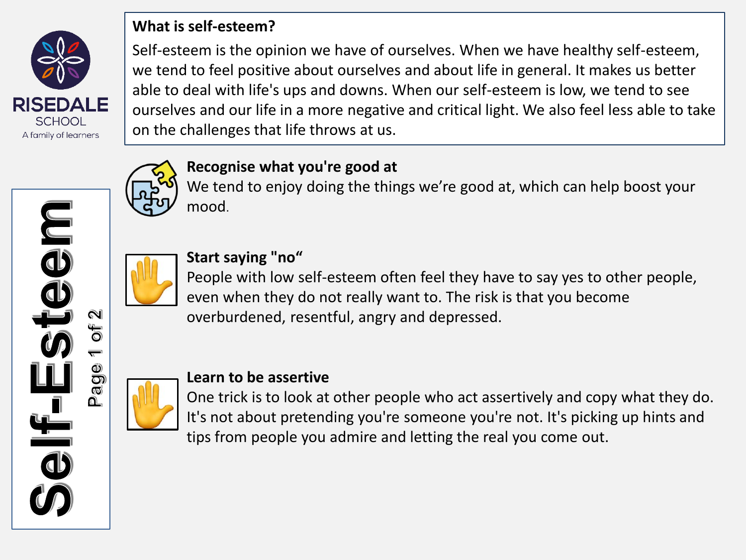

**ujee** 

 $\overline{\bullet}$ 

**FO** 

0 **ag** ∩∟

#### **What is self-esteem?**

Self-esteem is the opinion we have of ourselves. When we have healthy self-esteem, we tend to feel positive about ourselves and about life in general. It makes us better able to deal with life's ups and downs. When our self-esteem is low, we tend to see ourselves and our life in a more negative and critical light. We also feel less able to take on the challenges that life throws at us.



## **Recognise what you're good at**

We tend to enjoy doing the things we're good at, which can help boost your mood.



# **Start saying "no"**

People with low self-esteem often feel they have to say yes to other people, even when they do not really want to. The risk is that you become overburdened, resentful, angry and depressed.



#### **Learn to be assertive**

One trick is to look at other people who act assertively and copy what they do. It's not about pretending you're someone you're not. It's picking up hints and tips from people you admire and letting the real you come out.